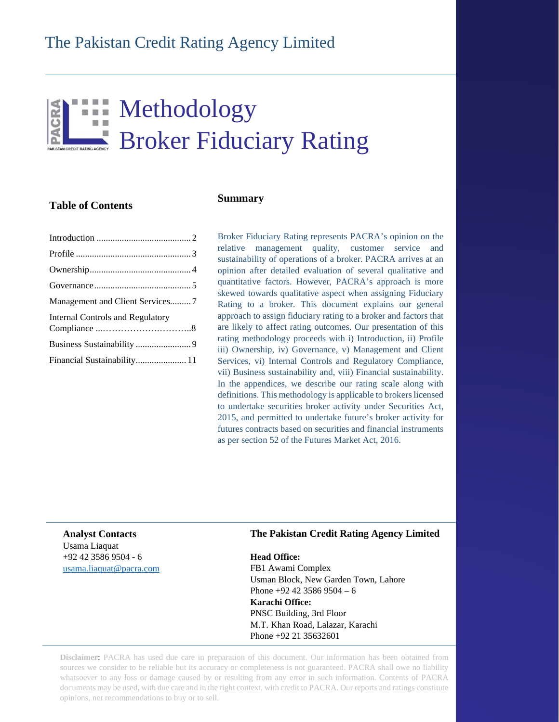# **Example 12 Methodology** Broker Fiduciary Rating

## **Table of Contents**

## **Summary**

| Management and Client Services7         |  |
|-----------------------------------------|--|
| <b>Internal Controls and Regulatory</b> |  |
|                                         |  |
| Financial Sustainability 11             |  |
|                                         |  |

Broker Fiduciary Rating represents PACRA's opinion on the relative management quality, customer service and sustainability of operations of a broker. PACRA arrives at an opinion after detailed evaluation of several qualitative and quantitative factors. However, PACRA's approach is more skewed towards qualitative aspect when assigning Fiduciary Rating to a broker. This document explains our general approach to assign fiduciary rating to a broker and factors that are likely to affect rating outcomes. Our presentation of this rating methodology proceeds with i) Introduction, ii) Profile iii) Ownership, iv) Governance, v) Management and Client Services, vi) Internal Controls and Regulatory Compliance, vii) Business sustainability and, viii) Financial sustainability. In the appendices, we describe our rating scale along with definitions. This methodology is applicable to brokers licensed to undertake securities broker activity under Securities Act, 2015, and permitted to undertake future's broker activity for futures contracts based on securities and financial instruments as per section 52 of the Futures Market Act, 2016.

**Analyst Contacts** Usama Liaquat +92 42 3586 9504 - 6 [usama.liaquat@pacra.com](mailto:usama.liaquat@pacra.com)

#### **The Pakistan Credit Rating Agency Limited**

**Head Office:** FB1 Awami Complex Usman Block, New Garden Town, Lahore Phone +92 42 3586 9504 – 6 **Karachi Office:** PNSC Building, 3rd Floor M.T. Khan Road, Lalazar, Karachi Phone +92 21 35632601

**Disclaimer**: PACRA has used due care in preparation of this document. Our information has been obtained from sources we consider to be reliable but its accuracy or completeness is not guaranteed. PACRA shall owe no liability whatsoever to any loss or damage caused by or resulting from any error in such information. Contents of PACRA documents may be used, with due care and in the right context, with credit to PACRA. Our reports and ratings constitute opinions, not recommendations to buy or to sell.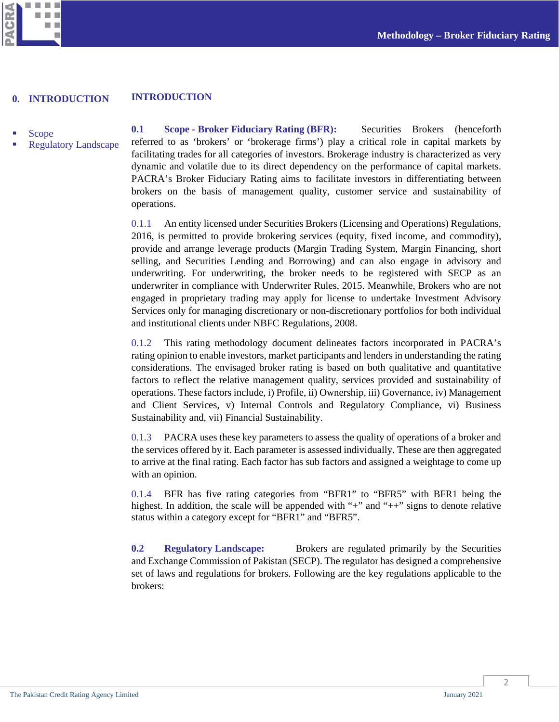



#### **INTRODUCTION 0. INTRODUCTION**

- <span id="page-1-0"></span>Scope
- Regulatory Landscape

**0.1 Scope - Broker Fiduciary Rating (BFR):** Securities Brokers (henceforth referred to as 'brokers' or 'brokerage firms') play a critical role in capital markets by facilitating trades for all categories of investors. Brokerage industry is characterized as very dynamic and volatile due to its direct dependency on the performance of capital markets. PACRA's Broker Fiduciary Rating aims to facilitate investors in differentiating between brokers on the basis of management quality, customer service and sustainability of operations.

0.1.1 An entity licensed under Securities Brokers (Licensing and Operations) Regulations, 2016, is permitted to provide brokering services (equity, fixed income, and commodity), provide and arrange leverage products (Margin Trading System, Margin Financing, short selling, and Securities Lending and Borrowing) and can also engage in advisory and underwriting. For underwriting, the broker needs to be registered with SECP as an underwriter in compliance with Underwriter Rules, 2015. Meanwhile, Brokers who are not engaged in proprietary trading may apply for license to undertake Investment Advisory Services only for managing discretionary or non-discretionary portfolios for both individual and institutional clients under NBFC Regulations, 2008.

0.1.2 This rating methodology document delineates factors incorporated in PACRA's rating opinion to enable investors, market participants and lenders in understanding the rating considerations. The envisaged broker rating is based on both qualitative and quantitative factors to reflect the relative management quality, services provided and sustainability of operations. These factors include, i) Profile, ii) Ownership, iii) Governance, iv) Management and Client Services, v) Internal Controls and Regulatory Compliance, vi) Business Sustainability and, vii) Financial Sustainability.

0.1.3 PACRA uses these key parameters to assess the quality of operations of a broker and the services offered by it. Each parameter is assessed individually. These are then aggregated to arrive at the final rating. Each factor has sub factors and assigned a weightage to come up with an opinion.

0.1.4 BFR has five rating categories from "BFR1" to "BFR5" with BFR1 being the highest. In addition, the scale will be appended with "+" and "++" signs to denote relative status within a category except for "BFR1" and "BFR5".

**0.2 Regulatory Landscape:** Brokers are regulated primarily by the Securities and Exchange Commission of Pakistan (SECP). The regulator has designed a comprehensive set of laws and regulations for brokers. Following are the key regulations applicable to the brokers: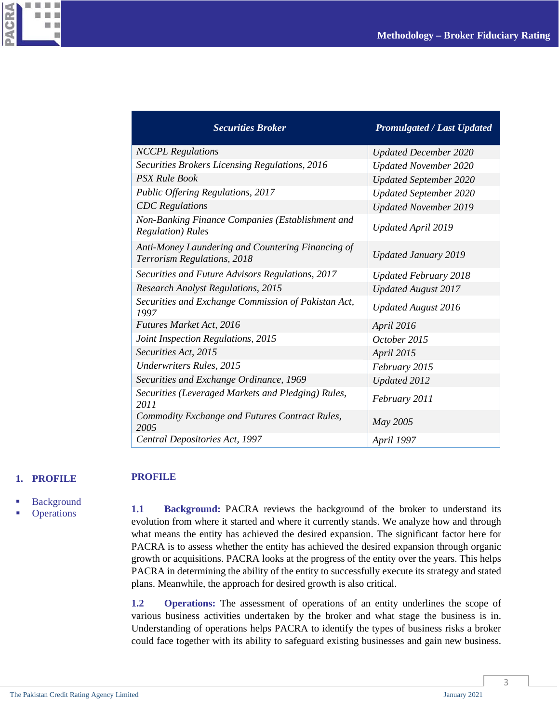

| <b>Securities Broker</b>                                                         | <b>Promulgated / Last Updated</b> |
|----------------------------------------------------------------------------------|-----------------------------------|
| <b>NCCPL</b> Regulations                                                         | <b>Updated December 2020</b>      |
| Securities Brokers Licensing Regulations, 2016                                   | <b>Updated November 2020</b>      |
| <b>PSX Rule Book</b>                                                             | <b>Updated September 2020</b>     |
| Public Offering Regulations, 2017                                                | <b>Updated September 2020</b>     |
| <b>CDC</b> Regulations                                                           | <b>Updated November 2019</b>      |
| Non-Banking Finance Companies (Establishment and<br><b>Regulation</b> ) Rules    | <b>Updated April 2019</b>         |
| Anti-Money Laundering and Countering Financing of<br>Terrorism Regulations, 2018 | <b>Updated January 2019</b>       |
| Securities and Future Advisors Regulations, 2017                                 | <b>Updated February 2018</b>      |
| <b>Research Analyst Regulations, 2015</b>                                        | <b>Updated August 2017</b>        |
| Securities and Exchange Commission of Pakistan Act,<br>1997                      | <b>Updated August 2016</b>        |
| <b>Futures Market Act, 2016</b>                                                  | April 2016                        |
| Joint Inspection Regulations, 2015                                               | October 2015                      |
| Securities Act, 2015                                                             | April 2015                        |
| <b>Underwriters Rules</b> , 2015                                                 | February 2015                     |
| Securities and Exchange Ordinance, 1969                                          | Updated 2012                      |
| Securities (Leveraged Markets and Pledging) Rules,<br>2011                       | February 2011                     |
| Commodity Exchange and Futures Contract Rules,<br>2005                           | May 2005                          |
| Central Depositories Act, 1997                                                   | April 1997                        |

#### <span id="page-2-0"></span>**1. PROFILE**

**PROFILE**

- Background
- **Operations**

**1.1 Background:** PACRA reviews the background of the broker to understand its evolution from where it started and where it currently stands. We analyze how and through what means the entity has achieved the desired expansion. The significant factor here for PACRA is to assess whether the entity has achieved the desired expansion through organic growth or acquisitions. PACRA looks at the progress of the entity over the years. This helps PACRA in determining the ability of the entity to successfully execute its strategy and stated plans. Meanwhile, the approach for desired growth is also critical.

**1.2 Operations:** The assessment of operations of an entity underlines the scope of various business activities undertaken by the broker and what stage the business is in. Understanding of operations helps PACRA to identify the types of business risks a broker could face together with its ability to safeguard existing businesses and gain new business.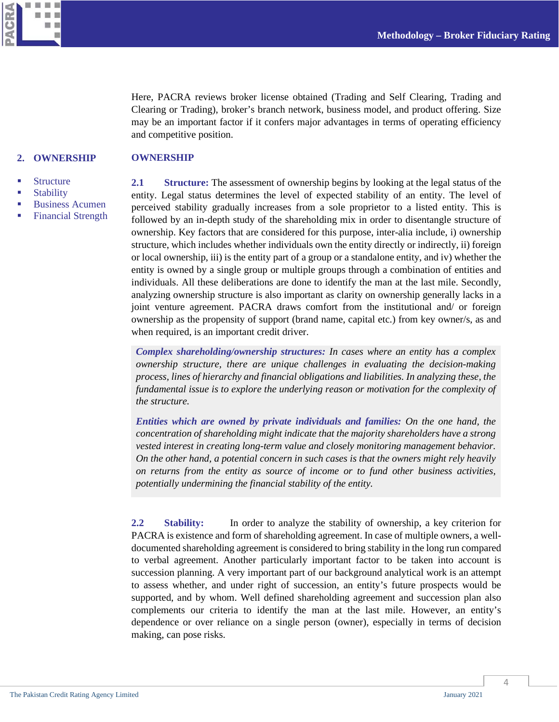ш CRA ш ш m  $\mathbf{m}$ ۰ m

> Here, PACRA reviews broker license obtained (Trading and Self Clearing, Trading and Clearing or Trading), broker's branch network, business model, and product offering. Size may be an important factor if it confers major advantages in terms of operating efficiency and competitive position.

#### <span id="page-3-0"></span>**2. OWNERSHIP OWNERSHIP**

- **Structure**
- **Stability**
- Business Acumen
- Financial Strength

**2.1 Structure:** The assessment of ownership begins by looking at the legal status of the entity. Legal status determines the level of expected stability of an entity. The level of perceived stability gradually increases from a sole proprietor to a listed entity. This is followed by an in-depth study of the shareholding mix in order to disentangle structure of ownership. Key factors that are considered for this purpose, inter-alia include, i) ownership structure, which includes whether individuals own the entity directly or indirectly, ii) foreign or local ownership, iii) is the entity part of a group or a standalone entity, and iv) whether the entity is owned by a single group or multiple groups through a combination of entities and individuals. All these deliberations are done to identify the man at the last mile. Secondly, analyzing ownership structure is also important as clarity on ownership generally lacks in a joint venture agreement. PACRA draws comfort from the institutional and/ or foreign ownership as the propensity of support (brand name, capital etc.) from key owner/s, as and when required, is an important credit driver.

*Complex shareholding/ownership structures: In cases where an entity has a complex ownership structure, there are unique challenges in evaluating the decision-making process, lines of hierarchy and financial obligations and liabilities. In analyzing these, the fundamental issue is to explore the underlying reason or motivation for the complexity of the structure.*

*Entities which are owned by private individuals and families: On the one hand, the concentration of shareholding might indicate that the majority shareholders have a strong vested interest in creating long-term value and closely monitoring management behavior. On the other hand, a potential concern in such cases is that the owners might rely heavily on returns from the entity as source of income or to fund other business activities, potentially undermining the financial stability of the entity.*

**2.2 Stability:** In order to analyze the stability of ownership, a key criterion for PACRA is existence and form of shareholding agreement. In case of multiple owners, a welldocumented shareholding agreement is considered to bring stability in the long run compared to verbal agreement. Another particularly important factor to be taken into account is succession planning. A very important part of our background analytical work is an attempt to assess whether, and under right of succession, an entity's future prospects would be supported, and by whom. Well defined shareholding agreement and succession plan also complements our criteria to identify the man at the last mile. However, an entity's dependence or over reliance on a single person (owner), especially in terms of decision making, can pose risks.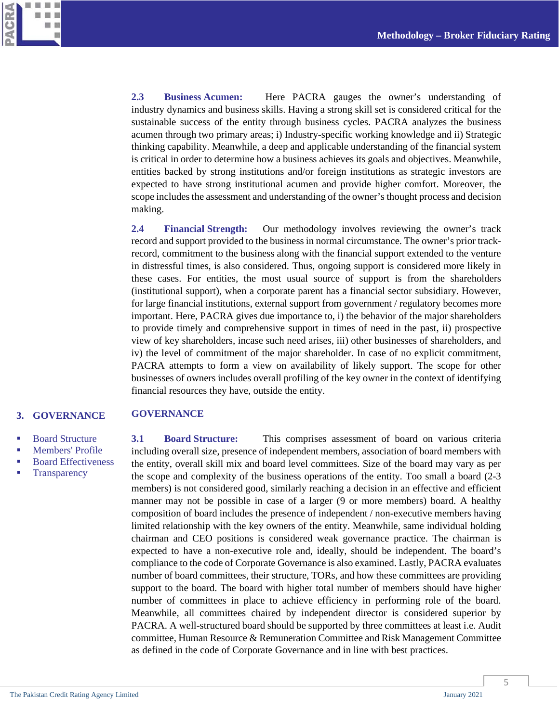

**2.3 Business Acumen:** Here PACRA gauges the owner's understanding of industry dynamics and business skills. Having a strong skill set is considered critical for the sustainable success of the entity through business cycles. PACRA analyzes the business acumen through two primary areas; i) Industry-specific working knowledge and ii) Strategic thinking capability. Meanwhile, a deep and applicable understanding of the financial system is critical in order to determine how a business achieves its goals and objectives. Meanwhile, entities backed by strong institutions and/or foreign institutions as strategic investors are expected to have strong institutional acumen and provide higher comfort. Moreover, the scope includes the assessment and understanding of the owner's thought process and decision making.

**2.4 Financial Strength:** Our methodology involves reviewing the owner's track record and support provided to the business in normal circumstance. The owner's prior trackrecord, commitment to the business along with the financial support extended to the venture in distressful times, is also considered. Thus, ongoing support is considered more likely in these cases. For entities, the most usual source of support is from the shareholders (institutional support), when a corporate parent has a financial sector subsidiary. However, for large financial institutions, external support from government / regulatory becomes more important. Here, PACRA gives due importance to, i) the behavior of the major shareholders to provide timely and comprehensive support in times of need in the past, ii) prospective view of key shareholders, incase such need arises, iii) other businesses of shareholders, and iv) the level of commitment of the major shareholder. In case of no explicit commitment, PACRA attempts to form a view on availability of likely support. The scope for other businesses of owners includes overall profiling of the key owner in the context of identifying financial resources they have, outside the entity.

#### <span id="page-4-0"></span>**GOVERNANCE 3. GOVERNANCE**

- Board Structure
- Members' Profile
- Board Effectiveness
- **Transparency**

**3.1 Board Structure:** This comprises assessment of board on various criteria including overall size, presence of independent members, association of board members with the entity, overall skill mix and board level committees. Size of the board may vary as per the scope and complexity of the business operations of the entity. Too small a board (2-3 members) is not considered good, similarly reaching a decision in an effective and efficient manner may not be possible in case of a larger (9 or more members) board. A healthy composition of board includes the presence of independent / non-executive members having limited relationship with the key owners of the entity. Meanwhile, same individual holding chairman and CEO positions is considered weak governance practice. The chairman is expected to have a non-executive role and, ideally, should be independent. The board's compliance to the code of Corporate Governance is also examined. Lastly, PACRA evaluates number of board committees, their structure, TORs, and how these committees are providing support to the board. The board with higher total number of members should have higher number of committees in place to achieve efficiency in performing role of the board. Meanwhile, all committees chaired by independent director is considered superior by PACRA. A well-structured board should be supported by three committees at least i.e. Audit committee, Human Resource & Remuneration Committee and Risk Management Committee as defined in the code of Corporate Governance and in line with best practices.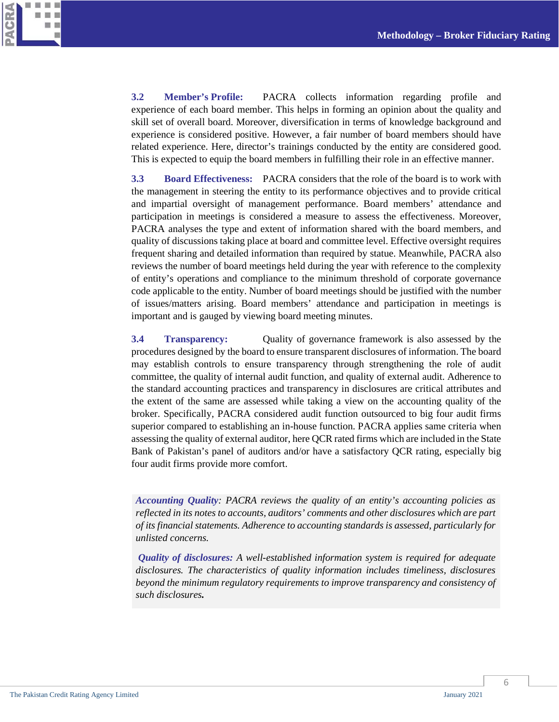

**3.2 Member's Profile:** PACRA collects information regarding profile and experience of each board member. This helps in forming an opinion about the quality and skill set of overall board. Moreover, diversification in terms of knowledge background and experience is considered positive. However, a fair number of board members should have related experience. Here, director's trainings conducted by the entity are considered good. This is expected to equip the board members in fulfilling their role in an effective manner.

**3.3 Board Effectiveness:** PACRA considers that the role of the board is to work with the management in steering the entity to its performance objectives and to provide critical and impartial oversight of management performance. Board members' attendance and participation in meetings is considered a measure to assess the effectiveness. Moreover, PACRA analyses the type and extent of information shared with the board members, and quality of discussions taking place at board and committee level. Effective oversight requires frequent sharing and detailed information than required by statue. Meanwhile, PACRA also reviews the number of board meetings held during the year with reference to the complexity of entity's operations and compliance to the minimum threshold of corporate governance code applicable to the entity. Number of board meetings should be justified with the number of issues/matters arising. Board members' attendance and participation in meetings is important and is gauged by viewing board meeting minutes.

**3.4 Transparency:** Quality of governance framework is also assessed by the procedures designed by the board to ensure transparent disclosures of information. The board may establish controls to ensure transparency through strengthening the role of audit committee, the quality of internal audit function, and quality of external audit. Adherence to the standard accounting practices and transparency in disclosures are critical attributes and the extent of the same are assessed while taking a view on the accounting quality of the broker. Specifically, PACRA considered audit function outsourced to big four audit firms superior compared to establishing an in-house function. PACRA applies same criteria when assessing the quality of external auditor, here QCR rated firms which are included in the State Bank of Pakistan's panel of auditors and/or have a satisfactory QCR rating, especially big four audit firms provide more comfort.

*Accounting Quality: PACRA reviews the quality of an entity's accounting policies as reflected in its notes to accounts, auditors' comments and other disclosures which are part of its financial statements. Adherence to accounting standards is assessed, particularly for unlisted concerns.* 

*Quality of disclosures: A well-established information system is required for adequate disclosures. The characteristics of quality information includes timeliness, disclosures beyond the minimum regulatory requirements to improve transparency and consistency of such disclosures.*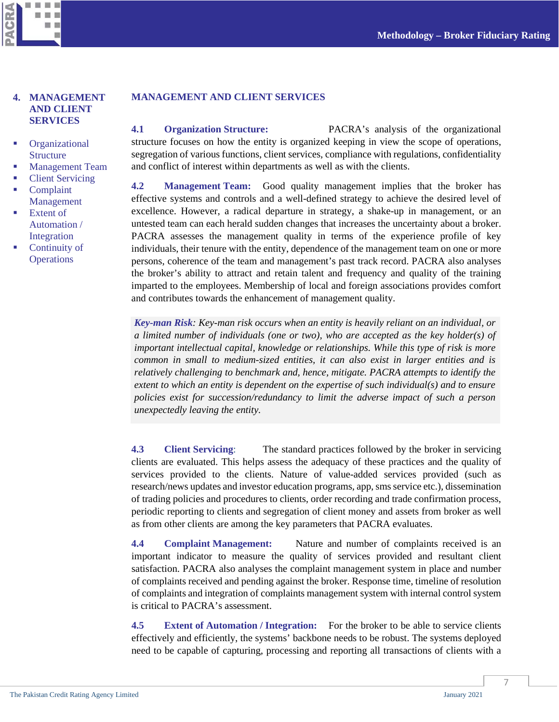

#### <span id="page-6-0"></span>**4. MANAGEMENT AND CLIENT SERVICES**

- **C**rganizational **Structure**
- Management Team
- Client Servicing
- Complaint Management
- Extent of Automation / Integration
- Continuity of **Operations**

#### **MANAGEMENT AND CLIENT SERVICES**

**4.1 Organization Structure:** PACRA's analysis of the organizational structure focuses on how the entity is organized keeping in view the scope of operations, segregation of various functions, client services, compliance with regulations, confidentiality and conflict of interest within departments as well as with the clients.

**4.2 Management Team:** Good quality management implies that the broker has effective systems and controls and a well-defined strategy to achieve the desired level of excellence. However, a radical departure in strategy, a shake-up in management, or an untested team can each herald sudden changes that increases the uncertainty about a broker. PACRA assesses the management quality in terms of the experience profile of key individuals, their tenure with the entity, dependence of the management team on one or more persons, coherence of the team and management's past track record. PACRA also analyses the broker's ability to attract and retain talent and frequency and quality of the training imparted to the employees. Membership of local and foreign associations provides comfort and contributes towards the enhancement of management quality.

*Key-man Risk: Key-man risk occurs when an entity is heavily reliant on an individual, or a limited number of individuals (one or two), who are accepted as the key holder(s) of important intellectual capital, knowledge or relationships. While this type of risk is more common in small to medium-sized entities, it can also exist in larger entities and is relatively challenging to benchmark and, hence, mitigate. PACRA attempts to identify the extent to which an entity is dependent on the expertise of such individual(s) and to ensure policies exist for succession/redundancy to limit the adverse impact of such a person unexpectedly leaving the entity.*

**4.3 Client Servicing**: The standard practices followed by the broker in servicing clients are evaluated. This helps assess the adequacy of these practices and the quality of services provided to the clients. Nature of value-added services provided (such as research/news updates and investor education programs, app, sms service etc.), dissemination of trading policies and procedures to clients, order recording and trade confirmation process, periodic reporting to clients and segregation of client money and assets from broker as well as from other clients are among the key parameters that PACRA evaluates.

**4.4 Complaint Management:** Nature and number of complaints received is an important indicator to measure the quality of services provided and resultant client satisfaction. PACRA also analyses the complaint management system in place and number of complaints received and pending against the broker. Response time, timeline of resolution of complaints and integration of complaints management system with internal control system is critical to PACRA's assessment.

**4.5 Extent of Automation / Integration:** For the broker to be able to service clients effectively and efficiently, the systems' backbone needs to be robust. The systems deployed need to be capable of capturing, processing and reporting all transactions of clients with a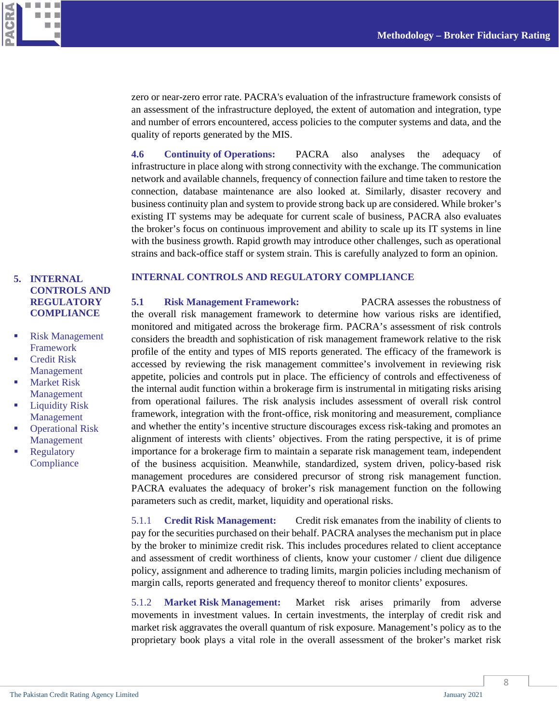

zero or near-zero error rate. PACRA's evaluation of the infrastructure framework consists of an assessment of the infrastructure deployed, the extent of automation and integration, type and number of errors encountered, access policies to the computer systems and data, and the quality of reports generated by the MIS.

**4.6 Continuity of Operations:** PACRA also analyses the adequacy of infrastructure in place along with strong connectivity with the exchange. The communication network and available channels, frequency of connection failure and time taken to restore the connection, database maintenance are also looked at. Similarly, disaster recovery and business continuity plan and system to provide strong back up are considered. While broker's existing IT systems may be adequate for current scale of business, PACRA also evaluates the broker's focus on continuous improvement and ability to scale up its IT systems in line with the business growth. Rapid growth may introduce other challenges, such as operational strains and back-office staff or system strain. This is carefully analyzed to form an opinion.

## <span id="page-7-0"></span>**5. INTERNAL CONTROLS AND REGULATORY COMPLIANCE**

- Risk Management Framework
- Credit Risk Management
- Market Risk Management
- Liquidity Risk Management
- Operational Risk Management
- Regulatory **Compliance**

#### **INTERNAL CONTROLS AND REGULATORY COMPLIANCE**

**5.1 Risk Management Framework:** PACRA assesses the robustness of the overall risk management framework to determine how various risks are identified, monitored and mitigated across the brokerage firm. PACRA's assessment of risk controls considers the breadth and sophistication of risk management framework relative to the risk profile of the entity and types of MIS reports generated. The efficacy of the framework is accessed by reviewing the risk management committee's involvement in reviewing risk appetite, policies and controls put in place. The efficiency of controls and effectiveness of the internal audit function within a brokerage firm is instrumental in mitigating risks arising from operational failures. The risk analysis includes assessment of overall risk control framework, integration with the front-office, risk monitoring and measurement, compliance and whether the entity's incentive structure discourages excess risk-taking and promotes an alignment of interests with clients' objectives. From the rating perspective, it is of prime importance for a brokerage firm to maintain a separate risk management team, independent of the business acquisition. Meanwhile, standardized, system driven, policy-based risk management procedures are considered precursor of strong risk management function. PACRA evaluates the adequacy of broker's risk management function on the following parameters such as credit, market, liquidity and operational risks.

5.1.1 **Credit Risk Management:** Credit risk emanates from the inability of clients to pay for the securities purchased on their behalf. PACRA analyses the mechanism put in place by the broker to minimize credit risk. This includes procedures related to client acceptance and assessment of credit worthiness of clients, know your customer / client due diligence policy, assignment and adherence to trading limits, margin policies including mechanism of margin calls, reports generated and frequency thereof to monitor clients' exposures.

5.1.2 **Market Risk Management:** Market risk arises primarily from adverse movements in investment values. In certain investments, the interplay of credit risk and market risk aggravates the overall quantum of risk exposure. Management's policy as to the proprietary book plays a vital role in the overall assessment of the broker's market risk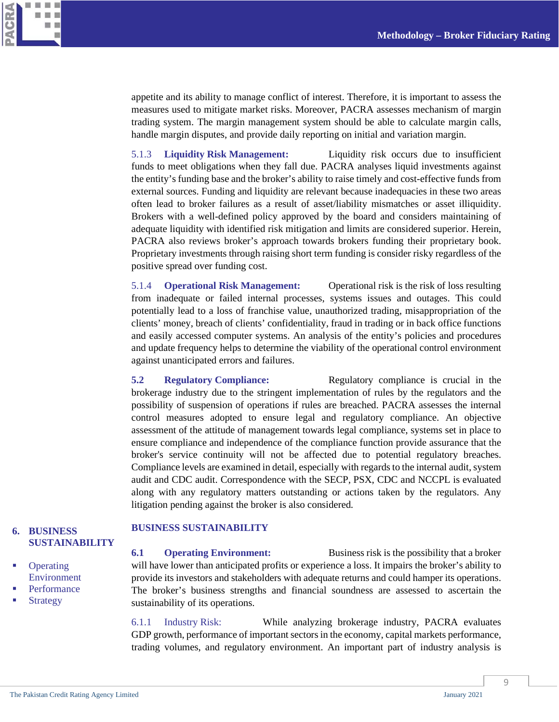appetite and its ability to manage conflict of interest. Therefore, it is important to assess the measures used to mitigate market risks. Moreover, PACRA assesses mechanism of margin trading system. The margin management system should be able to calculate margin calls, handle margin disputes, and provide daily reporting on initial and variation margin.

5.1.3 **Liquidity Risk Management:** Liquidity risk occurs due to insufficient funds to meet obligations when they fall due. PACRA analyses liquid investments against the entity's funding base and the broker's ability to raise timely and cost-effective funds from external sources. Funding and liquidity are relevant because inadequacies in these two areas often lead to broker failures as a result of asset/liability mismatches or asset illiquidity. Brokers with a well-defined policy approved by the board and considers maintaining of adequate liquidity with identified risk mitigation and limits are considered superior. Herein, PACRA also reviews broker's approach towards brokers funding their proprietary book. Proprietary investments through raising short term funding is consider risky regardless of the positive spread over funding cost.

5.1.4 **Operational Risk Management:** Operational risk is the risk of loss resulting from inadequate or failed internal processes, systems issues and outages. This could potentially lead to a loss of franchise value, unauthorized trading, misappropriation of the clients' money, breach of clients' confidentiality, fraud in trading or in back office functions and easily accessed computer systems. An analysis of the entity's policies and procedures and update frequency helps to determine the viability of the operational control environment against unanticipated errors and failures.

**5.2 Regulatory Compliance:** Regulatory compliance is crucial in the brokerage industry due to the stringent implementation of rules by the regulators and the possibility of suspension of operations if rules are breached. PACRA assesses the internal control measures adopted to ensure legal and regulatory compliance. An objective assessment of the attitude of management towards legal compliance, systems set in place to ensure compliance and independence of the compliance function provide assurance that the broker's service continuity will not be affected due to potential regulatory breaches. Compliance levels are examined in detail, especially with regards to the internal audit, system audit and CDC audit. Correspondence with the SECP, PSX, CDC and NCCPL is evaluated along with any regulatory matters outstanding or actions taken by the regulators. Any litigation pending against the broker is also considered.

## <span id="page-8-0"></span>**6. BUSINESS SUSTAINABILITY**

- **Operating** Environment
- Performance
- Strategy

#### **BUSINESS SUSTAINABILITY**

**6.1 Operating Environment:** Business risk is the possibility that a broker will have lower than anticipated profits or experience a loss. It impairs the broker's ability to provide its investors and stakeholders with adequate returns and could hamper its operations. The broker's business strengths and financial soundness are assessed to ascertain the sustainability of its operations.

6.1.1 Industry Risk: While analyzing brokerage industry, PACRA evaluates GDP growth, performance of important sectors in the economy, capital markets performance, trading volumes, and regulatory environment. An important part of industry analysis is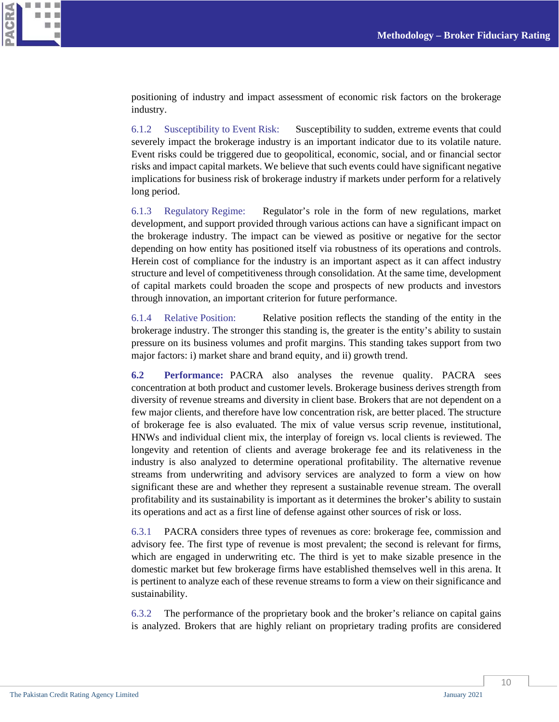

positioning of industry and impact assessment of economic risk factors on the brokerage industry.

6.1.2 Susceptibility to Event Risk: Susceptibility to sudden, extreme events that could severely impact the brokerage industry is an important indicator due to its volatile nature. Event risks could be triggered due to geopolitical, economic, social, and or financial sector risks and impact capital markets. We believe that such events could have significant negative implications for business risk of brokerage industry if markets under perform for a relatively long period.

6.1.3 Regulatory Regime: Regulator's role in the form of new regulations, market development, and support provided through various actions can have a significant impact on the brokerage industry. The impact can be viewed as positive or negative for the sector depending on how entity has positioned itself via robustness of its operations and controls. Herein cost of compliance for the industry is an important aspect as it can affect industry structure and level of competitiveness through consolidation. At the same time, development of capital markets could broaden the scope and prospects of new products and investors through innovation, an important criterion for future performance.

6.1.4 Relative Position: Relative position reflects the standing of the entity in the brokerage industry. The stronger this standing is, the greater is the entity's ability to sustain pressure on its business volumes and profit margins. This standing takes support from two major factors: i) market share and brand equity, and ii) growth trend.

**6.2 Performance:** PACRA also analyses the revenue quality. PACRA sees concentration at both product and customer levels. Brokerage business derives strength from diversity of revenue streams and diversity in client base. Brokers that are not dependent on a few major clients, and therefore have low concentration risk, are better placed. The structure of brokerage fee is also evaluated. The mix of value versus scrip revenue, institutional, HNWs and individual client mix, the interplay of foreign vs. local clients is reviewed. The longevity and retention of clients and average brokerage fee and its relativeness in the industry is also analyzed to determine operational profitability. The alternative revenue streams from underwriting and advisory services are analyzed to form a view on how significant these are and whether they represent a sustainable revenue stream. The overall profitability and its sustainability is important as it determines the broker's ability to sustain its operations and act as a first line of defense against other sources of risk or loss.

6.3.1 PACRA considers three types of revenues as core: brokerage fee, commission and advisory fee. The first type of revenue is most prevalent; the second is relevant for firms, which are engaged in underwriting etc. The third is yet to make sizable presence in the domestic market but few brokerage firms have established themselves well in this arena. It is pertinent to analyze each of these revenue streams to form a view on their significance and sustainability.

6.3.2 The performance of the proprietary book and the broker's reliance on capital gains is analyzed. Brokers that are highly reliant on proprietary trading profits are considered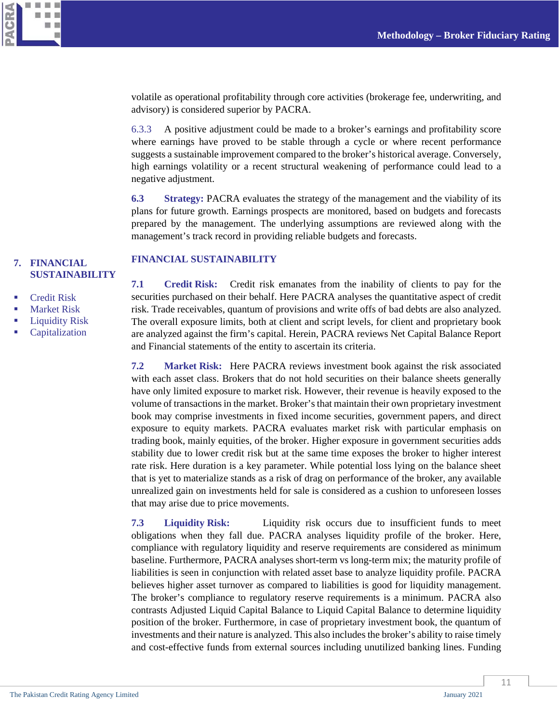

volatile as operational profitability through core activities (brokerage fee, underwriting, and advisory) is considered superior by PACRA.

6.3.3 A positive adjustment could be made to a broker's earnings and profitability score where earnings have proved to be stable through a cycle or where recent performance suggests a sustainable improvement compared to the broker's historical average. Conversely, high earnings volatility or a recent structural weakening of performance could lead to a negative adjustment.

**6.3 Strategy:** PACRA evaluates the strategy of the management and the viability of its plans for future growth. Earnings prospects are monitored, based on budgets and forecasts prepared by the management. The underlying assumptions are reviewed along with the management's track record in providing reliable budgets and forecasts.

## <span id="page-10-0"></span>**7. [FINANCIAL](#page-7-0)  [SUSTAINABILITY](#page-7-0)**

- **Credit Risk**
- Market Risk
- Liquidity Risk
- Capitalization

#### **FINANCIAL SUSTAINABILITY**

**7.1 Credit Risk:** Credit risk emanates from the inability of clients to pay for the securities purchased on their behalf. Here PACRA analyses the quantitative aspect of credit risk. Trade receivables, quantum of provisions and write offs of bad debts are also analyzed. The overall exposure limits, both at client and script levels, for client and proprietary book are analyzed against the firm's capital. Herein, PACRA reviews Net Capital Balance Report and Financial statements of the entity to ascertain its criteria.

**7.2 Market Risk:** Here PACRA reviews investment book against the risk associated with each asset class. Brokers that do not hold securities on their balance sheets generally have only limited exposure to market risk. However, their revenue is heavily exposed to the volume of transactions in the market. Broker's that maintain their own proprietary investment book may comprise investments in fixed income securities, government papers, and direct exposure to equity markets. PACRA evaluates market risk with particular emphasis on trading book, mainly equities, of the broker. Higher exposure in government securities adds stability due to lower credit risk but at the same time exposes the broker to higher interest rate risk. Here duration is a key parameter. While potential loss lying on the balance sheet that is yet to materialize stands as a risk of drag on performance of the broker, any available unrealized gain on investments held for sale is considered as a cushion to unforeseen losses that may arise due to price movements.

**7.3 Liquidity Risk:** Liquidity risk occurs due to insufficient funds to meet obligations when they fall due. PACRA analyses liquidity profile of the broker. Here, compliance with regulatory liquidity and reserve requirements are considered as minimum baseline. Furthermore, PACRA analyses short-term vs long-term mix; the maturity profile of liabilities is seen in conjunction with related asset base to analyze liquidity profile. PACRA believes higher asset turnover as compared to liabilities is good for liquidity management. The broker's compliance to regulatory reserve requirements is a minimum. PACRA also contrasts Adjusted Liquid Capital Balance to Liquid Capital Balance to determine liquidity position of the broker. Furthermore, in case of proprietary investment book, the quantum of investments and their nature is analyzed. This also includes the broker's ability to raise timely and cost-effective funds from external sources including unutilized banking lines. Funding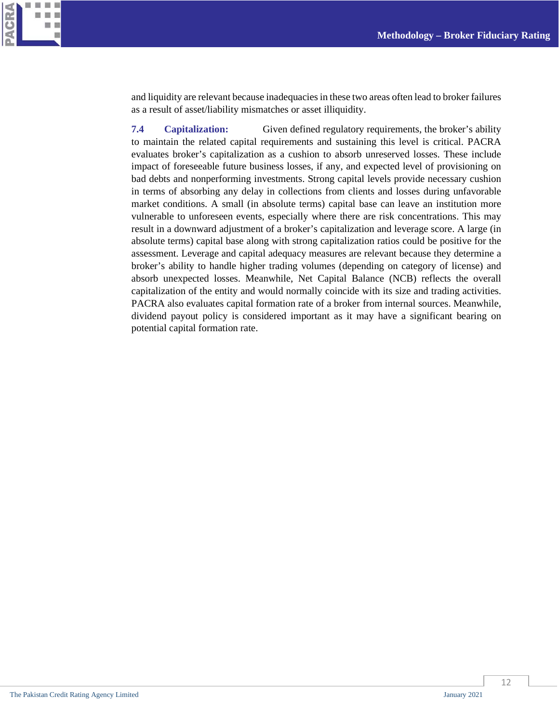

and liquidity are relevant because inadequacies in these two areas often lead to broker failures as a result of asset/liability mismatches or asset illiquidity.

**7.4 Capitalization:** Given defined regulatory requirements, the broker's ability to maintain the related capital requirements and sustaining this level is critical. PACRA evaluates broker's capitalization as a cushion to absorb unreserved losses. These include impact of foreseeable future business losses, if any, and expected level of provisioning on bad debts and nonperforming investments. Strong capital levels provide necessary cushion in terms of absorbing any delay in collections from clients and losses during unfavorable market conditions. A small (in absolute terms) capital base can leave an institution more vulnerable to unforeseen events, especially where there are risk concentrations. This may result in a downward adjustment of a broker's capitalization and leverage score. A large (in absolute terms) capital base along with strong capitalization ratios could be positive for the assessment. Leverage and capital adequacy measures are relevant because they determine a broker's ability to handle higher trading volumes (depending on category of license) and absorb unexpected losses. Meanwhile, Net Capital Balance (NCB) reflects the overall capitalization of the entity and would normally coincide with its size and trading activities. PACRA also evaluates capital formation rate of a broker from internal sources. Meanwhile, dividend payout policy is considered important as it may have a significant bearing on potential capital formation rate.